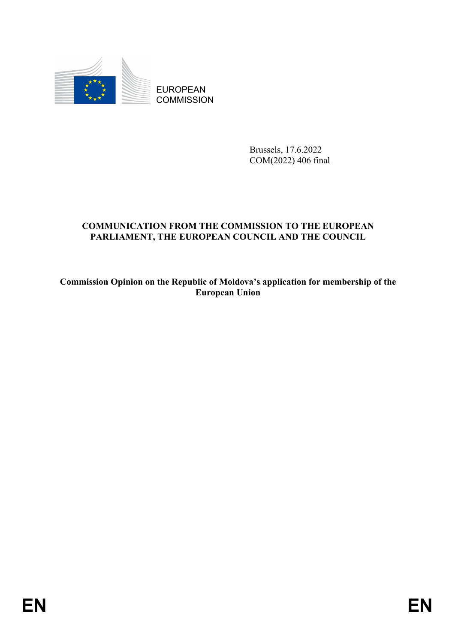

EUROPEAN **COMMISSION** 

> Brussels, 17.6.2022 COM(2022) 406 final

# **COMMUNICATION FROM THE COMMISSION TO THE EUROPEAN PARLIAMENT, THE EUROPEAN COUNCIL AND THE COUNCIL**

**Commission Opinion on the Republic of Moldova's application for membership of the European Union**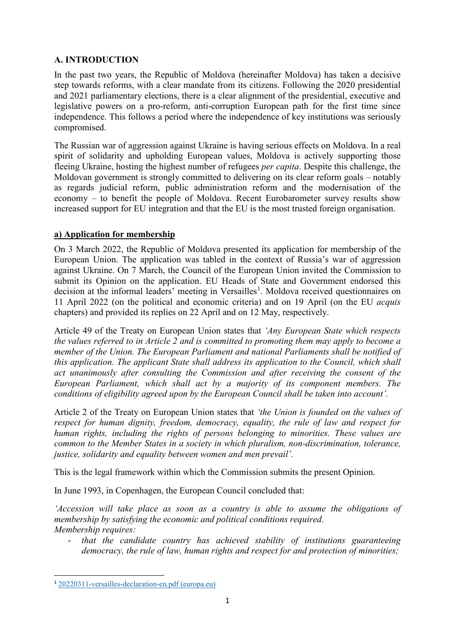# **A. INTRODUCTION**

In the past two years, the Republic of Moldova (hereinafter Moldova) has taken a decisive step towards reforms, with a clear mandate from its citizens. Following the 2020 presidential and 2021 parliamentary elections, there is a clear alignment of the presidential, executive and legislative powers on a pro-reform, anti-corruption European path for the first time since independence. This follows a period where the independence of key institutions was seriously compromised.

The Russian war of aggression against Ukraine is having serious effects on Moldova. In a real spirit of solidarity and upholding European values, Moldova is actively supporting those fleeing Ukraine, hosting the highest number of refugees *per capita*. Despite this challenge, the Moldovan government is strongly committed to delivering on its clear reform goals – notably as regards judicial reform, public administration reform and the modernisation of the economy – to benefit the people of Moldova. Recent Eurobarometer survey results show increased support for EU integration and that the EU is the most trusted foreign organisation.

#### **a) Application for membership**

On 3 March 2022, the Republic of Moldova presented its application for membership of the European Union. The application was tabled in the context of Russia's war of aggression against Ukraine. On 7 March, the Council of the European Union invited the Commission to submit its Opinion on the application. EU Heads of State and Government endorsed this decision at the informal leaders' meeting in Versailles<sup>[1](#page-1-0)</sup>. Moldova received questionnaires on 11 April 2022 (on the political and economic criteria) and on 19 April (on the EU *acquis* chapters) and provided its replies on 22 April and on 12 May, respectively.

Article 49 of the Treaty on European Union states that *'Any European State which respects the values referred to in Article 2 and is committed to promoting them may apply to become a member of the Union. The European Parliament and national Parliaments shall be notified of this application. The applicant State shall address its application to the Council, which shall act unanimously after consulting the Commission and after receiving the consent of the European Parliament, which shall act by a majority of its component members. The conditions of eligibility agreed upon by the European Council shall be taken into account'.*

Article 2 of the Treaty on European Union states that *'the Union is founded on the values of respect for human dignity, freedom, democracy, equality, the rule of law and respect for human rights, including the rights of persons belonging to minorities. These values are common to the Member States in a society in which pluralism, non-discrimination, tolerance, justice, solidarity and equality between women and men prevail'.*

This is the legal framework within which the Commission submits the present Opinion.

In June 1993, in Copenhagen, the European Council concluded that:

*'Accession will take place as soon as a country is able to assume the obligations of membership by satisfying the economic and political conditions required. Membership requires:* 

- *that the candidate country has achieved stability of institutions guaranteeing democracy, the rule of law, human rights and respect for and protection of minorities;* 

<span id="page-1-0"></span> <sup>1</sup> [20220311-versailles-declaration-en.pdf \(europa.eu\)](https://www.consilium.europa.eu/media/54773/20220311-versailles-declaration-en.pdf)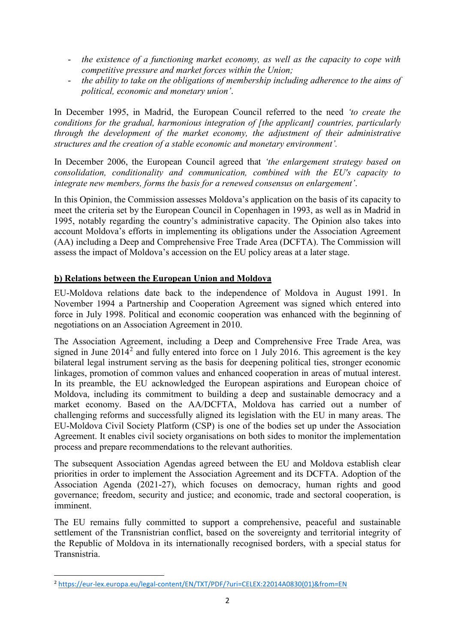- the existence of a functioning market economy, as well as the capacity to cope with *competitive pressure and market forces within the Union;*
- *the ability to take on the obligations of membership including adherence to the aims of political, economic and monetary union'*.

In December 1995, in Madrid, the European Council referred to the need *'to create the conditions for the gradual, harmonious integration of [the applicant] countries, particularly through the development of the market economy, the adjustment of their administrative structures and the creation of a stable economic and monetary environment'.* 

In December 2006, the European Council agreed that *'the enlargement strategy based on consolidation, conditionality and communication, combined with the EU's capacity to integrate new members, forms the basis for a renewed consensus on enlargement'*.

In this Opinion, the Commission assesses Moldova's application on the basis of its capacity to meet the criteria set by the European Council in Copenhagen in 1993, as well as in Madrid in 1995, notably regarding the country's administrative capacity. The Opinion also takes into account Moldova's efforts in implementing its obligations under the Association Agreement (AA) including a Deep and Comprehensive Free Trade Area (DCFTA). The Commission will assess the impact of Moldova's accession on the EU policy areas at a later stage.

## **b) Relations between the European Union and Moldova**

EU-Moldova relations date back to the independence of Moldova in August 1991. In November 1994 a Partnership and Cooperation Agreement was signed which entered into force in July 1998. Political and economic cooperation was enhanced with the beginning of negotiations on an Association Agreement in 2010.

The Association Agreement, including a Deep and Comprehensive Free Trade Area, was signed in June  $2014<sup>2</sup>$  $2014<sup>2</sup>$  and fully entered into force on 1 July 2016. This agreement is the key bilateral legal instrument serving as the basis for deepening political ties, stronger economic linkages, promotion of common values and enhanced cooperation in areas of mutual interest. In its preamble, the EU acknowledged the European aspirations and European choice of Moldova, including its commitment to building a deep and sustainable democracy and a market economy. Based on the AA/DCFTA, Moldova has carried out a number of challenging reforms and successfully aligned its legislation with the EU in many areas. The EU-Moldova Civil Society Platform (CSP) is one of the bodies set up under the Association Agreement. It enables civil society organisations on both sides to monitor the implementation process and prepare recommendations to the relevant authorities.

The subsequent Association Agendas agreed between the EU and Moldova establish clear priorities in order to implement the Association Agreement and its DCFTA. Adoption of the Association Agenda (2021-27), which focuses on democracy, human rights and good governance; freedom, security and justice; and economic, trade and sectoral cooperation, is imminent.

The EU remains fully committed to support a comprehensive, peaceful and sustainable settlement of the Transnistrian conflict, based on the sovereignty and territorial integrity of the Republic of Moldova in its internationally recognised borders, with a special status for Transnistria.

<span id="page-2-0"></span> <sup>2</sup> [https://eur-lex.europa.eu/legal-content/EN/TXT/PDF/?uri=CELEX:22014A0830\(01\)&from=EN](https://eur-lex.europa.eu/legal-content/EN/TXT/PDF/?uri=CELEX:22014A0830(01)&from=EN)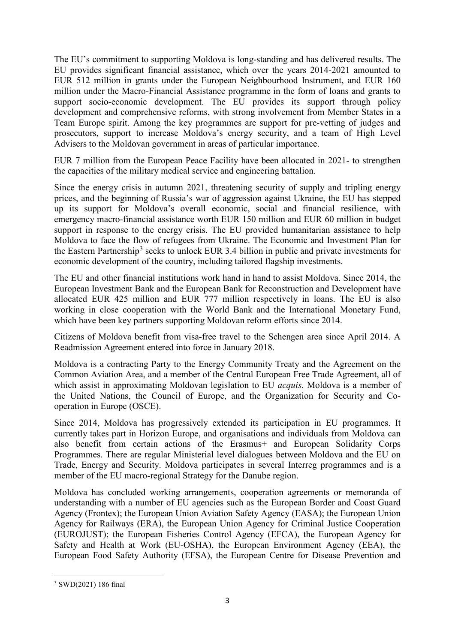The EU's commitment to supporting Moldova is long-standing and has delivered results. The EU provides significant financial assistance, which over the years 2014-2021 amounted to EUR 512 million in grants under the European Neighbourhood Instrument, and EUR 160 million under the Macro-Financial Assistance programme in the form of loans and grants to support socio-economic development. The EU provides its support through policy development and comprehensive reforms, with strong involvement from Member States in a Team Europe spirit. Among the key programmes are support for pre-vetting of judges and prosecutors, support to increase Moldova's energy security, and a team of High Level Advisers to the Moldovan government in areas of particular importance.

EUR 7 million from the European Peace Facility have been allocated in 2021- to strengthen the capacities of the military medical service and engineering battalion.

Since the energy crisis in autumn 2021, threatening security of supply and tripling energy prices, and the beginning of Russia's war of aggression against Ukraine, the EU has stepped up its support for Moldova's overall economic, social and financial resilience, with emergency macro-financial assistance worth EUR 150 million and EUR 60 million in budget support in response to the energy crisis. The EU provided humanitarian assistance to help Moldova to face the flow of refugees from Ukraine. The Economic and Investment Plan for the Eastern Partnership<sup>[3](#page-3-0)</sup> seeks to unlock EUR 3.4 billion in public and private investments for economic development of the country, including tailored flagship investments.

The EU and other financial institutions work hand in hand to assist Moldova. Since 2014, the European Investment Bank and the European Bank for Reconstruction and Development have allocated EUR 425 million and EUR 777 million respectively in loans. The EU is also working in close cooperation with the World Bank and the International Monetary Fund, which have been key partners supporting Moldovan reform efforts since 2014.

Citizens of Moldova benefit from visa-free travel to the Schengen area since April 2014. A Readmission Agreement entered into force in January 2018.

Moldova is a contracting Party to the Energy Community Treaty and the Agreement on the Common Aviation Area, and a member of the Central European Free Trade Agreement, all of which assist in approximating Moldovan legislation to EU *acquis*. Moldova is a member of the United Nations, the Council of Europe, and the Organization for Security and Cooperation in Europe (OSCE).

Since 2014, Moldova has progressively extended its participation in EU programmes. It currently takes part in Horizon Europe, and organisations and individuals from Moldova can also benefit from certain actions of the Erasmus+ and European Solidarity Corps Programmes. There are regular Ministerial level dialogues between Moldova and the EU on Trade, Energy and Security. Moldova participates in several Interreg programmes and is a member of the EU macro-regional Strategy for the Danube region.

Moldova has concluded working arrangements, cooperation agreements or memoranda of understanding with a number of EU agencies such as the European Border and Coast Guard Agency (Frontex); the European Union Aviation Safety Agency (EASA); the European Union Agency for Railways (ERA), the European Union Agency for Criminal Justice Cooperation (EUROJUST); the European Fisheries Control Agency (EFCA), the European Agency for Safety and Health at Work (EU-OSHA), the European Environment Agency (EEA), the European Food Safety Authority (EFSA), the European Centre for Disease Prevention and

<u>.</u>

<span id="page-3-0"></span><sup>3</sup> SWD(2021) 186 final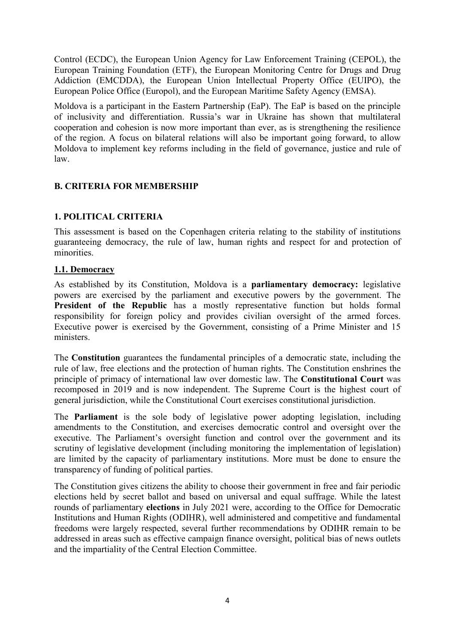Control (ECDC), the European Union Agency for Law Enforcement Training (CEPOL), the European Training Foundation (ETF), the European Monitoring Centre for Drugs and Drug Addiction (EMCDDA), the European Union Intellectual Property Office (EUIPO), the European Police Office (Europol), and the European Maritime Safety Agency (EMSA).

Moldova is a participant in the Eastern Partnership (EaP). The EaP is based on the principle of inclusivity and differentiation. Russia's war in Ukraine has shown that multilateral cooperation and cohesion is now more important than ever, as is strengthening the resilience of the region. A focus on bilateral relations will also be important going forward, to allow Moldova to implement key reforms including in the field of governance, justice and rule of law.

## **B. CRITERIA FOR MEMBERSHIP**

## **1. POLITICAL CRITERIA**

This assessment is based on the Copenhagen criteria relating to the stability of institutions guaranteeing democracy, the rule of law, human rights and respect for and protection of minorities.

#### **1.1. Democracy**

As established by its Constitution, Moldova is a **parliamentary democracy:** legislative powers are exercised by the parliament and executive powers by the government. The **President of the Republic** has a mostly representative function but holds formal responsibility for foreign policy and provides civilian oversight of the armed forces. Executive power is exercised by the Government, consisting of a Prime Minister and 15 ministers.

The **Constitution** guarantees the fundamental principles of a democratic state, including the rule of law, free elections and the protection of human rights. The Constitution enshrines the principle of primacy of international law over domestic law. The **Constitutional Court** was recomposed in 2019 and is now independent. The Supreme Court is the highest court of general jurisdiction, while the Constitutional Court exercises constitutional jurisdiction.

The **Parliament** is the sole body of legislative power adopting legislation, including amendments to the Constitution, and exercises democratic control and oversight over the executive. The Parliament's oversight function and control over the government and its scrutiny of legislative development (including monitoring the implementation of legislation) are limited by the capacity of parliamentary institutions. More must be done to ensure the transparency of funding of political parties.

The Constitution gives citizens the ability to choose their government in free and fair periodic elections held by secret ballot and based on universal and equal suffrage. While the latest rounds of parliamentary **elections** in July 2021 were, according to the Office for Democratic Institutions and Human Rights (ODIHR), well administered and competitive and fundamental freedoms were largely respected, several further recommendations by ODIHR remain to be addressed in areas such as effective campaign finance oversight, political bias of news outlets and the impartiality of the Central Election Committee.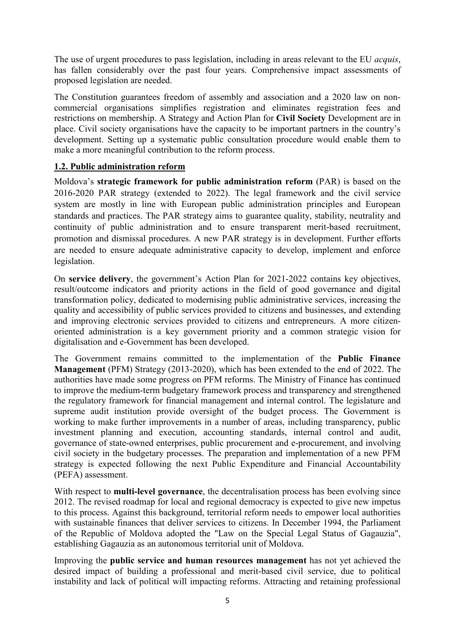The use of urgent procedures to pass legislation, including in areas relevant to the EU *acquis*, has fallen considerably over the past four years. Comprehensive impact assessments of proposed legislation are needed.

The Constitution guarantees freedom of assembly and association and a 2020 law on noncommercial organisations simplifies registration and eliminates registration fees and restrictions on membership. A Strategy and Action Plan for **Civil Society** Development are in place. Civil society organisations have the capacity to be important partners in the country's development. Setting up a systematic public consultation procedure would enable them to make a more meaningful contribution to the reform process.

#### **1.2. Public administration reform**

Moldova's **strategic framework for public administration reform** (PAR) is based on the 2016-2020 PAR strategy (extended to 2022). The legal framework and the civil service system are mostly in line with European public administration principles and European standards and practices. The PAR strategy aims to guarantee quality, stability, neutrality and continuity of public administration and to ensure transparent merit-based recruitment, promotion and dismissal procedures. A new PAR strategy is in development. Further efforts are needed to ensure adequate administrative capacity to develop, implement and enforce legislation.

On **service delivery**, the government's Action Plan for 2021-2022 contains key objectives, result/outcome indicators and priority actions in the field of good governance and digital transformation policy, dedicated to modernising public administrative services, increasing the quality and accessibility of public services provided to citizens and businesses, and extending and improving electronic services provided to citizens and entrepreneurs. A more citizenoriented administration is a key government priority and a common strategic vision for digitalisation and e-Government has been developed.

The Government remains committed to the implementation of the **Public Finance Management** (PFM) Strategy (2013-2020), which has been extended to the end of 2022. The authorities have made some progress on PFM reforms. The Ministry of Finance has continued to improve the medium-term budgetary framework process and transparency and strengthened the regulatory framework for financial management and internal control. The legislature and supreme audit institution provide oversight of the budget process. The Government is working to make further improvements in a number of areas, including transparency, public investment planning and execution, accounting standards, internal control and audit, governance of state-owned enterprises, public procurement and e-procurement, and involving civil society in the budgetary processes. The preparation and implementation of a new PFM strategy is expected following the next Public Expenditure and Financial Accountability (PEFA) assessment.

With respect to **multi-level governance**, the decentralisation process has been evolving since 2012. The revised roadmap for local and regional democracy is expected to give new impetus to this process. Against this background, territorial reform needs to empower local authorities with sustainable finances that deliver services to citizens. In December 1994, the Parliament of the Republic of Moldova adopted the "Law on the Special Legal Status of Gagauzia", establishing Gagauzia as an autonomous territorial unit of Moldova.

Improving the **public service and human resources management** has not yet achieved the desired impact of building a professional and merit-based civil service, due to political instability and lack of political will impacting reforms. Attracting and retaining professional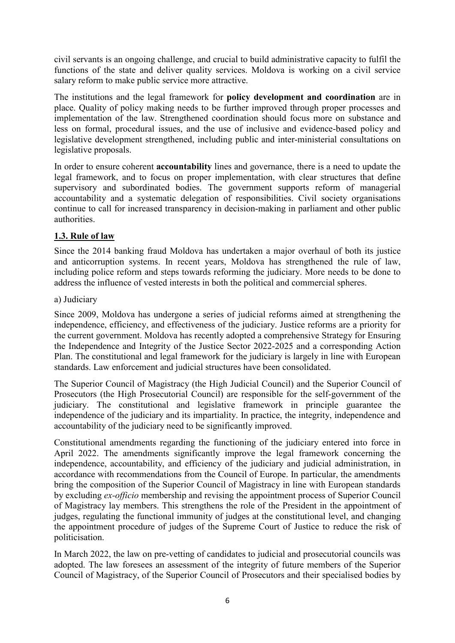civil servants is an ongoing challenge, and crucial to build administrative capacity to fulfil the functions of the state and deliver quality services. Moldova is working on a civil service salary reform to make public service more attractive.

The institutions and the legal framework for **policy development and coordination** are in place. Quality of policy making needs to be further improved through proper processes and implementation of the law. Strengthened coordination should focus more on substance and less on formal, procedural issues, and the use of inclusive and evidence-based policy and legislative development strengthened, including public and inter-ministerial consultations on legislative proposals.

In order to ensure coherent **accountability** lines and governance, there is a need to update the legal framework, and to focus on proper implementation, with clear structures that define supervisory and subordinated bodies. The government supports reform of managerial accountability and a systematic delegation of responsibilities. Civil society organisations continue to call for increased transparency in decision-making in parliament and other public authorities.

# **1.3. Rule of law**

Since the 2014 banking fraud Moldova has undertaken a major overhaul of both its justice and anticorruption systems. In recent years, Moldova has strengthened the rule of law, including police reform and steps towards reforming the judiciary. More needs to be done to address the influence of vested interests in both the political and commercial spheres.

#### a) Judiciary

Since 2009, Moldova has undergone a series of judicial reforms aimed at strengthening the independence, efficiency, and effectiveness of the judiciary. Justice reforms are a priority for the current government. Moldova has recently adopted a comprehensive Strategy for Ensuring the Independence and Integrity of the Justice Sector 2022-2025 and a corresponding Action Plan. The constitutional and legal framework for the judiciary is largely in line with European standards. Law enforcement and judicial structures have been consolidated.

The Superior Council of Magistracy (the High Judicial Council) and the Superior Council of Prosecutors (the High Prosecutorial Council) are responsible for the self-government of the judiciary. The constitutional and legislative framework in principle guarantee the independence of the judiciary and its impartiality. In practice, the integrity, independence and accountability of the judiciary need to be significantly improved.

Constitutional amendments regarding the functioning of the judiciary entered into force in April 2022. The amendments significantly improve the legal framework concerning the independence, accountability, and efficiency of the judiciary and judicial administration, in accordance with recommendations from the Council of Europe. In particular, the amendments bring the composition of the Superior Council of Magistracy in line with European standards by excluding *ex-officio* membership and revising the appointment process of Superior Council of Magistracy lay members. This strengthens the role of the President in the appointment of judges, regulating the functional immunity of judges at the constitutional level, and changing the appointment procedure of judges of the Supreme Court of Justice to reduce the risk of politicisation.

In March 2022, the law on pre-vetting of candidates to judicial and prosecutorial councils was adopted. The law foresees an assessment of the integrity of future members of the Superior Council of Magistracy, of the Superior Council of Prosecutors and their specialised bodies by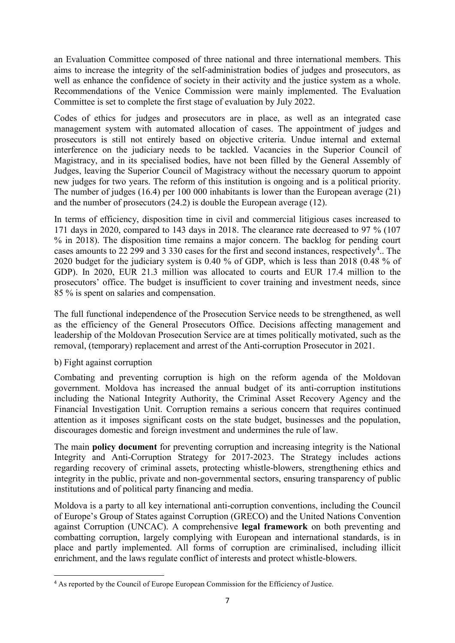an Evaluation Committee composed of three national and three international members. This aims to increase the integrity of the self-administration bodies of judges and prosecutors, as well as enhance the confidence of society in their activity and the justice system as a whole. Recommendations of the Venice Commission were mainly implemented. The Evaluation Committee is set to complete the first stage of evaluation by July 2022.

Codes of ethics for judges and prosecutors are in place, as well as an integrated case management system with automated allocation of cases. The appointment of judges and prosecutors is still not entirely based on objective criteria. Undue internal and external interference on the judiciary needs to be tackled. Vacancies in the Superior Council of Magistracy, and in its specialised bodies, have not been filled by the General Assembly of Judges, leaving the Superior Council of Magistracy without the necessary quorum to appoint new judges for two years. The reform of this institution is ongoing and is a political priority. The number of judges (16.4) per 100 000 inhabitants is lower than the European average (21) and the number of prosecutors (24.2) is double the European average (12).

In terms of efficiency, disposition time in civil and commercial litigious cases increased to 171 days in 2020, compared to 143 days in 2018. The clearance rate decreased to 97 % (107 % in 2018). The disposition time remains a major concern. The backlog for pending court cases amounts to 22 299 and 3 330 cases for the first and second instances, respectively<sup>[4](#page-7-0)</sup>.. The 2020 budget for the judiciary system is 0.40 % of GDP, which is less than 2018 (0.48 % of GDP). In 2020, EUR 21.3 million was allocated to courts and EUR 17.4 million to the prosecutors' office. The budget is insufficient to cover training and investment needs, since 85 % is spent on salaries and compensation.

The full functional independence of the Prosecution Service needs to be strengthened, as well as the efficiency of the General Prosecutors Office. Decisions affecting management and leadership of the Moldovan Prosecution Service are at times politically motivated, such as the removal, (temporary) replacement and arrest of the Anti-corruption Prosecutor in 2021.

#### b) Fight against corruption

Combating and preventing corruption is high on the reform agenda of the Moldovan government. Moldova has increased the annual budget of its anti-corruption institutions including the National Integrity Authority, the Criminal Asset Recovery Agency and the Financial Investigation Unit. Corruption remains a serious concern that requires continued attention as it imposes significant costs on the state budget, businesses and the population, discourages domestic and foreign investment and undermines the rule of law.

The main **policy document** for preventing corruption and increasing integrity is the National Integrity and Anti-Corruption Strategy for 2017-2023. The Strategy includes actions regarding recovery of criminal assets, protecting whistle-blowers, strengthening ethics and integrity in the public, private and non-governmental sectors, ensuring transparency of public institutions and of political party financing and media.

Moldova is a party to all key international anti-corruption conventions, including the Council of Europe's Group of States against Corruption (GRECO) and the United Nations Convention against Corruption (UNCAC). A comprehensive **legal framework** on both preventing and combatting corruption, largely complying with European and international standards, is in place and partly implemented. All forms of corruption are criminalised, including illicit enrichment, and the laws regulate conflict of interests and protect whistle-blowers.

<span id="page-7-0"></span> <sup>4</sup> As reported by the Council of Europe European Commission for the Efficiency of Justice.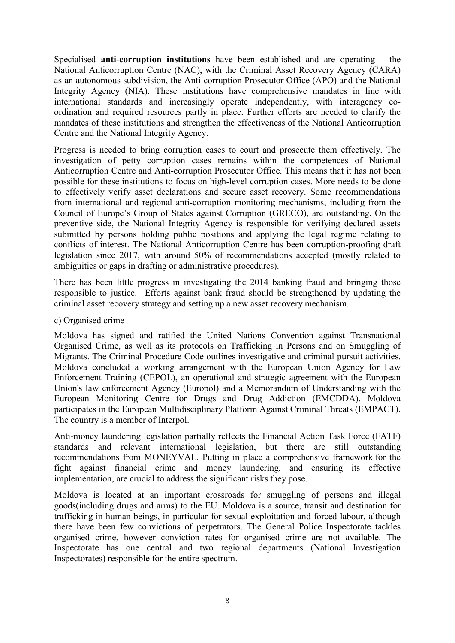Specialised **anti-corruption institutions** have been established and are operating – the National Anticorruption Centre (NAC), with the Criminal Asset Recovery Agency (CARA) as an autonomous subdivision, the Anti-corruption Prosecutor Office (APO) and the National Integrity Agency (NIA). These institutions have comprehensive mandates in line with international standards and increasingly operate independently, with interagency coordination and required resources partly in place. Further efforts are needed to clarify the mandates of these institutions and strengthen the effectiveness of the National Anticorruption Centre and the National Integrity Agency.

Progress is needed to bring corruption cases to court and prosecute them effectively. The investigation of petty corruption cases remains within the competences of National Anticorruption Centre and Anti-corruption Prosecutor Office. This means that it has not been possible for these institutions to focus on high-level corruption cases. More needs to be done to effectively verify asset declarations and secure asset recovery. Some recommendations from international and regional anti-corruption monitoring mechanisms, including from the Council of Europe's Group of States against Corruption (GRECO), are outstanding. On the preventive side, the National Integrity Agency is responsible for verifying declared assets submitted by persons holding public positions and applying the legal regime relating to conflicts of interest. The National Anticorruption Centre has been corruption-proofing draft legislation since 2017, with around 50% of recommendations accepted (mostly related to ambiguities or gaps in drafting or administrative procedures).

There has been little progress in investigating the 2014 banking fraud and bringing those responsible to justice. Efforts against bank fraud should be strengthened by updating the criminal asset recovery strategy and setting up a new asset recovery mechanism.

#### c) Organised crime

Moldova has signed and ratified the United Nations Convention against Transnational Organised Crime, as well as its protocols on Trafficking in Persons and on Smuggling of Migrants. The Criminal Procedure Code outlines investigative and criminal pursuit activities. Moldova concluded a working arrangement with the European Union Agency for Law Enforcement Training (CEPOL), an operational and strategic agreement with the European Union's law enforcement Agency (Europol) and a Memorandum of Understanding with the European Monitoring Centre for Drugs and Drug Addiction (EMCDDA). Moldova participates in the European Multidisciplinary Platform Against Criminal Threats (EMPACT). The country is a member of Interpol.

Anti-money laundering legislation partially reflects the Financial Action Task Force (FATF) standards and relevant international legislation, but there are still outstanding recommendations from MONEYVAL. Putting in place a comprehensive framework for the fight against financial crime and money laundering, and ensuring its effective implementation, are crucial to address the significant risks they pose.

Moldova is located at an important crossroads for smuggling of persons and illegal goods(including drugs and arms) to the EU. Moldova is a source, transit and destination for trafficking in human beings, in particular for sexual exploitation and forced labour, although there have been few convictions of perpetrators. The General Police Inspectorate tackles organised crime, however conviction rates for organised crime are not available. The Inspectorate has one central and two regional departments (National Investigation Inspectorates) responsible for the entire spectrum.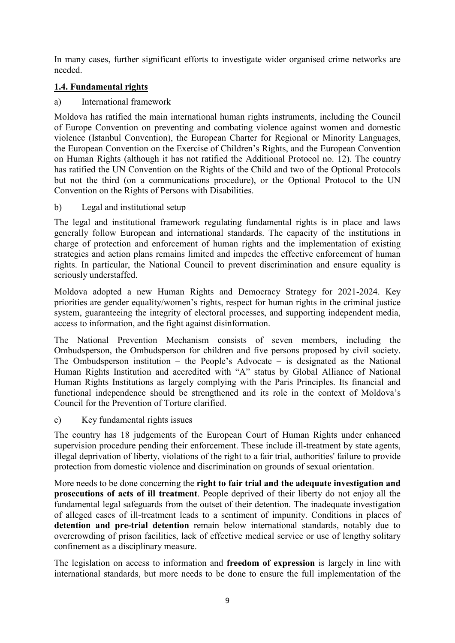In many cases, further significant efforts to investigate wider organised crime networks are needed.

## **1.4. Fundamental rights**

a) International framework

Moldova has ratified the main international human rights instruments, including the Council of Europe Convention on preventing and combating violence against women and domestic violence (Istanbul Convention), the European Charter for Regional or Minority Languages, the European Convention on the Exercise of Children's Rights, and the European Convention on Human Rights (although it has not ratified the Additional Protocol no. 12). The country has ratified the UN Convention on the Rights of the Child and two of the Optional Protocols but not the third (on a communications procedure), or the Optional Protocol to the UN Convention on the Rights of Persons with Disabilities.

b) Legal and institutional setup

The legal and institutional framework regulating fundamental rights is in place and laws generally follow European and international standards. The capacity of the institutions in charge of protection and enforcement of human rights and the implementation of existing strategies and action plans remains limited and impedes the effective enforcement of human rights. In particular, the National Council to prevent discrimination and ensure equality is seriously understaffed.

Moldova adopted a new Human Rights and Democracy Strategy for 2021-2024. Key priorities are gender equality/women's rights, respect for human rights in the criminal justice system, guaranteeing the integrity of electoral processes, and supporting independent media, access to information, and the fight against disinformation.

The National Prevention Mechanism consists of seven members, including the Ombudsperson, the Ombudsperson for children and five persons proposed by civil society. The Ombudsperson institution – the People's Advocate **–** is designated as the National Human Rights Institution and accredited with "A" status by Global Alliance of National Human Rights Institutions as largely complying with the Paris Principles. Its financial and functional independence should be strengthened and its role in the context of Moldova's Council for the Prevention of Torture clarified.

c) Key fundamental rights issues

The country has 18 judgements of the European Court of Human Rights under enhanced supervision procedure pending their enforcement. These include ill-treatment by state agents, illegal deprivation of liberty, violations of the right to a fair trial, authorities' failure to provide protection from domestic violence and discrimination on grounds of sexual orientation.

More needs to be done concerning the **right to fair trial and the adequate investigation and prosecutions of acts of ill treatment**. People deprived of their liberty do not enjoy all the fundamental legal safeguards from the outset of their detention. The inadequate investigation of alleged cases of ill-treatment leads to a sentiment of impunity. Conditions in places of **detention and pre-trial detention** remain below international standards, notably due to overcrowding of prison facilities, lack of effective medical service or use of lengthy solitary confinement as a disciplinary measure.

The legislation on access to information and **freedom of expression** is largely in line with international standards, but more needs to be done to ensure the full implementation of the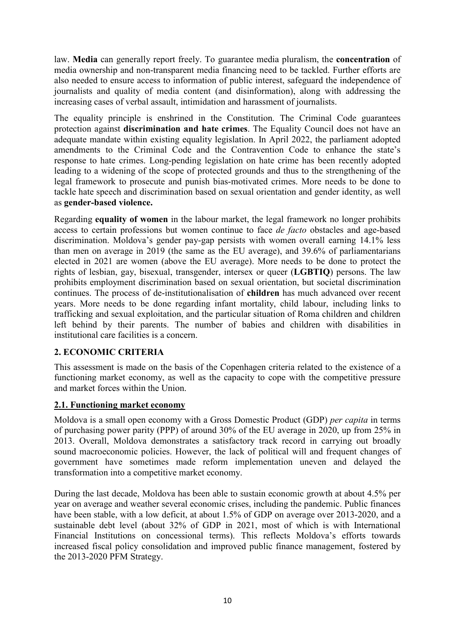law. **Media** can generally report freely. To guarantee media pluralism, the **concentration** of media ownership and non-transparent media financing need to be tackled. Further efforts are also needed to ensure access to information of public interest, safeguard the independence of journalists and quality of media content (and disinformation), along with addressing the increasing cases of verbal assault, intimidation and harassment of journalists.

The equality principle is enshrined in the Constitution. The Criminal Code guarantees protection against **discrimination and hate crimes**. The Equality Council does not have an adequate mandate within existing equality legislation. In April 2022, the parliament adopted amendments to the Criminal Code and the Contravention Code to enhance the state's response to hate crimes. Long-pending legislation on hate crime has been recently adopted leading to a widening of the scope of protected grounds and thus to the strengthening of the legal framework to prosecute and punish bias-motivated crimes. More needs to be done to tackle hate speech and discrimination based on sexual orientation and gender identity, as well as **gender-based violence.** 

Regarding **equality of women** in the labour market, the legal framework no longer prohibits access to certain professions but women continue to face *de facto* obstacles and age-based discrimination. Moldova's gender pay-gap persists with women overall earning 14.1% less than men on average in 2019 (the same as the EU average), and 39.6% of parliamentarians elected in 2021 are women (above the EU average). More needs to be done to protect the rights of lesbian, gay, bisexual, transgender, intersex or queer (**LGBTIQ**) persons. The law prohibits employment discrimination based on sexual orientation, but societal discrimination continues. The process of de-institutionalisation of **children** has much advanced over recent years. More needs to be done regarding infant mortality, child labour, including links to trafficking and sexual exploitation, and the particular situation of Roma children and children left behind by their parents. The number of babies and children with disabilities in institutional care facilities is a concern.

#### **2. ECONOMIC CRITERIA**

This assessment is made on the basis of the Copenhagen criteria related to the existence of a functioning market economy, as well as the capacity to cope with the competitive pressure and market forces within the Union.

#### **2.1. Functioning market economy**

Moldova is a small open economy with a Gross Domestic Product (GDP) *per capita* in terms of purchasing power parity (PPP) of around 30% of the EU average in 2020, up from 25% in 2013. Overall, Moldova demonstrates a satisfactory track record in carrying out broadly sound macroeconomic policies. However, the lack of political will and frequent changes of government have sometimes made reform implementation uneven and delayed the transformation into a competitive market economy.

During the last decade, Moldova has been able to sustain economic growth at about 4.5% per year on average and weather several economic crises, including the pandemic. Public finances have been stable, with a low deficit, at about 1.5% of GDP on average over 2013-2020, and a sustainable debt level (about 32% of GDP in 2021, most of which is with International Financial Institutions on concessional terms). This reflects Moldova's efforts towards increased fiscal policy consolidation and improved public finance management, fostered by the 2013-2020 PFM Strategy.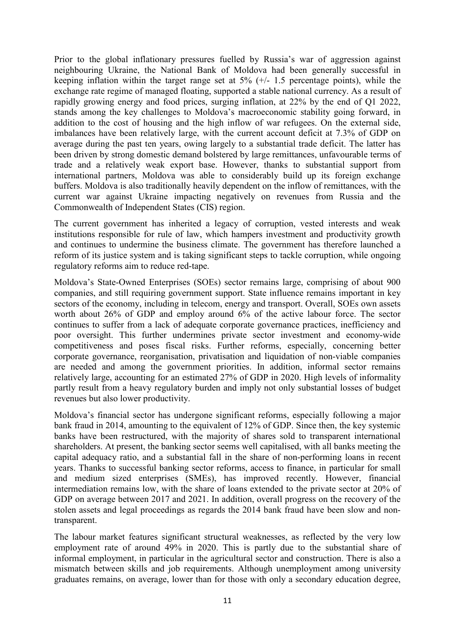Prior to the global inflationary pressures fuelled by Russia's war of aggression against neighbouring Ukraine, the National Bank of Moldova had been generally successful in keeping inflation within the target range set at  $5\%$  (+/- 1.5 percentage points), while the exchange rate regime of managed floating, supported a stable national currency. As a result of rapidly growing energy and food prices, surging inflation, at 22% by the end of Q1 2022, stands among the key challenges to Moldova's macroeconomic stability going forward, in addition to the cost of housing and the high inflow of war refugees. On the external side, imbalances have been relatively large, with the current account deficit at 7.3% of GDP on average during the past ten years, owing largely to a substantial trade deficit. The latter has been driven by strong domestic demand bolstered by large remittances, unfavourable terms of trade and a relatively weak export base. However, thanks to substantial support from international partners, Moldova was able to considerably build up its foreign exchange buffers. Moldova is also traditionally heavily dependent on the inflow of remittances, with the current war against Ukraine impacting negatively on revenues from Russia and the Commonwealth of Independent States (CIS) region.

The current government has inherited a legacy of corruption, vested interests and weak institutions responsible for rule of law, which hampers investment and productivity growth and continues to undermine the business climate. The government has therefore launched a reform of its justice system and is taking significant steps to tackle corruption, while ongoing regulatory reforms aim to reduce red-tape.

Moldova's State-Owned Enterprises (SOEs) sector remains large, comprising of about 900 companies, and still requiring government support. State influence remains important in key sectors of the economy, including in telecom, energy and transport. Overall, SOEs own assets worth about 26% of GDP and employ around 6% of the active labour force. The sector continues to suffer from a lack of adequate corporate governance practices, inefficiency and poor oversight. This further undermines private sector investment and economy-wide competitiveness and poses fiscal risks. Further reforms, especially, concerning better corporate governance, reorganisation, privatisation and liquidation of non-viable companies are needed and among the government priorities. In addition, informal sector remains relatively large, accounting for an estimated 27% of GDP in 2020. High levels of informality partly result from a heavy regulatory burden and imply not only substantial losses of budget revenues but also lower productivity.

Moldova's financial sector has undergone significant reforms, especially following a major bank fraud in 2014, amounting to the equivalent of 12% of GDP. Since then, the key systemic banks have been restructured, with the majority of shares sold to transparent international shareholders. At present, the banking sector seems well capitalised, with all banks meeting the capital adequacy ratio, and a substantial fall in the share of non-performing loans in recent years. Thanks to successful banking sector reforms, access to finance, in particular for small and medium sized enterprises (SMEs), has improved recently. However, financial intermediation remains low, with the share of loans extended to the private sector at 20% of GDP on average between 2017 and 2021. In addition, overall progress on the recovery of the stolen assets and legal proceedings as regards the 2014 bank fraud have been slow and nontransparent.

The labour market features significant structural weaknesses, as reflected by the very low employment rate of around 49% in 2020. This is partly due to the substantial share of informal employment, in particular in the agricultural sector and construction. There is also a mismatch between skills and job requirements. Although unemployment among university graduates remains, on average, lower than for those with only a secondary education degree,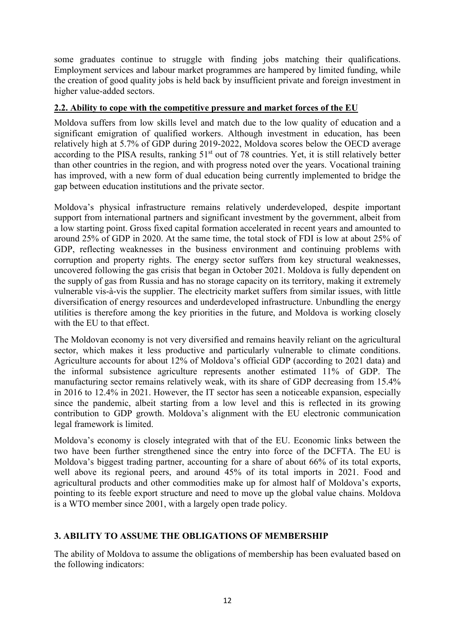some graduates continue to struggle with finding jobs matching their qualifications. Employment services and labour market programmes are hampered by limited funding, while the creation of good quality jobs is held back by insufficient private and foreign investment in higher value-added sectors.

### **2.2. Ability to cope with the competitive pressure and market forces of the EU**

Moldova suffers from low skills level and match due to the low quality of education and a significant emigration of qualified workers. Although investment in education, has been relatively high at 5.7% of GDP during 2019-2022, Moldova scores below the OECD average according to the PISA results, ranking 51<sup>st</sup> out of 78 countries. Yet, it is still relatively better than other countries in the region, and with progress noted over the years. Vocational training has improved, with a new form of dual education being currently implemented to bridge the gap between education institutions and the private sector.

Moldova's physical infrastructure remains relatively underdeveloped, despite important support from international partners and significant investment by the government, albeit from a low starting point. Gross fixed capital formation accelerated in recent years and amounted to around 25% of GDP in 2020. At the same time, the total stock of FDI is low at about 25% of GDP, reflecting weaknesses in the business environment and continuing problems with corruption and property rights. The energy sector suffers from key structural weaknesses, uncovered following the gas crisis that began in October 2021. Moldova is fully dependent on the supply of gas from Russia and has no storage capacity on its territory, making it extremely vulnerable vis-à-vis the supplier. The electricity market suffers from similar issues, with little diversification of energy resources and underdeveloped infrastructure. Unbundling the energy utilities is therefore among the key priorities in the future, and Moldova is working closely with the EU to that effect.

The Moldovan economy is not very diversified and remains heavily reliant on the agricultural sector, which makes it less productive and particularly vulnerable to climate conditions. Agriculture accounts for about 12% of Moldova's official GDP (according to 2021 data) and the informal subsistence agriculture represents another estimated 11% of GDP. The manufacturing sector remains relatively weak, with its share of GDP decreasing from 15.4% in 2016 to 12.4% in 2021. However, the IT sector has seen a noticeable expansion, especially since the pandemic, albeit starting from a low level and this is reflected in its growing contribution to GDP growth. Moldova's alignment with the EU electronic communication legal framework is limited.

Moldova's economy is closely integrated with that of the EU. Economic links between the two have been further strengthened since the entry into force of the DCFTA. The EU is Moldova's biggest trading partner, accounting for a share of about 66% of its total exports, well above its regional peers, and around 45% of its total imports in 2021. Food and agricultural products and other commodities make up for almost half of Moldova's exports, pointing to its feeble export structure and need to move up the global value chains. Moldova is a WTO member since 2001, with a largely open trade policy.

# **3. ABILITY TO ASSUME THE OBLIGATIONS OF MEMBERSHIP**

The ability of Moldova to assume the obligations of membership has been evaluated based on the following indicators: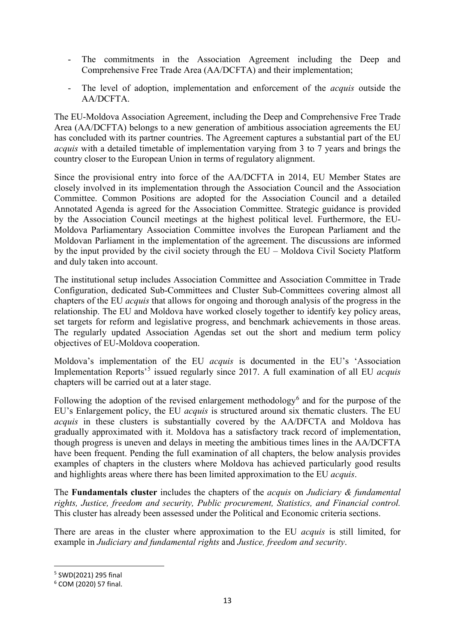- The commitments in the Association Agreement including the Deep and Comprehensive Free Trade Area (AA/DCFTA) and their implementation;
- The level of adoption, implementation and enforcement of the *acquis* outside the AA/DCFTA.

The EU-Moldova Association Agreement, including the Deep and Comprehensive Free Trade Area (AA/DCFTA) belongs to a new generation of ambitious association agreements the EU has concluded with its partner countries. The Agreement captures a substantial part of the EU *acquis* with a detailed timetable of implementation varying from 3 to 7 years and brings the country closer to the European Union in terms of regulatory alignment.

Since the provisional entry into force of the AA/DCFTA in 2014, EU Member States are closely involved in its implementation through the Association Council and the Association Committee. Common Positions are adopted for the Association Council and a detailed Annotated Agenda is agreed for the Association Committee. Strategic guidance is provided by the Association Council meetings at the highest political level. Furthermore, the EU-Moldova Parliamentary Association Committee involves the European Parliament and the Moldovan Parliament in the implementation of the agreement. The discussions are informed by the input provided by the civil society through the EU – Moldova Civil Society Platform and duly taken into account.

The institutional setup includes Association Committee and Association Committee in Trade Configuration, dedicated Sub-Committees and Cluster Sub-Committees covering almost all chapters of the EU *acquis* that allows for ongoing and thorough analysis of the progress in the relationship. The EU and Moldova have worked closely together to identify key policy areas, set targets for reform and legislative progress, and benchmark achievements in those areas. The regularly updated Association Agendas set out the short and medium term policy objectives of EU-Moldova cooperation.

Moldova's implementation of the EU *acquis* is documented in the EU's 'Association Implementation Reports<sup>[5](#page-13-0)</sup> issued regularly since 2017. A full examination of all EU *acquis* chapters will be carried out at a later stage.

Following the adoption of the revised enlargement methodology<sup>[6](#page-13-1)</sup> and for the purpose of the EU's Enlargement policy, the EU *acquis* is structured around six thematic clusters. The EU *acquis* in these clusters is substantially covered by the AA/DFCTA and Moldova has gradually approximated with it. Moldova has a satisfactory track record of implementation, though progress is uneven and delays in meeting the ambitious times lines in the AA/DCFTA have been frequent. Pending the full examination of all chapters, the below analysis provides examples of chapters in the clusters where Moldova has achieved particularly good results and highlights areas where there has been limited approximation to the EU *acquis*.

The **Fundamentals cluster** includes the chapters of the *acquis* on *Judiciary & fundamental rights, Justice, freedom and security, Public procurement, Statistics, and Financial control.*  This cluster has already been assessed under the Political and Economic criteria sections.

There are areas in the cluster where approximation to the EU *acquis* is still limited, for example in *Judiciary and fundamental rights* and *Justice, freedom and security*.

<span id="page-13-0"></span> <sup>5</sup> SWD(2021) 295 final

<span id="page-13-1"></span><sup>6</sup> COM (2020) 57 final.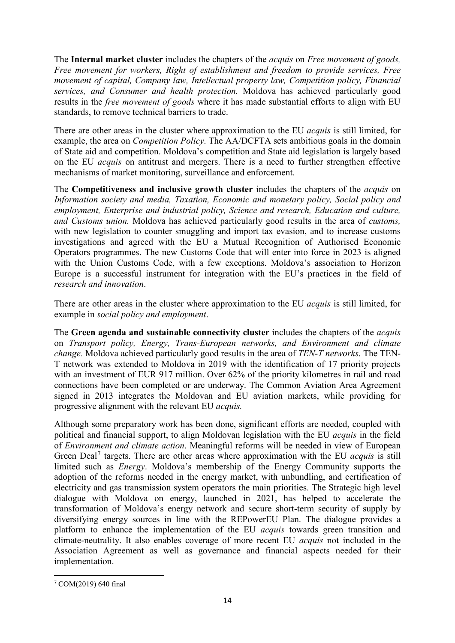The **Internal market cluster** includes the chapters of the *acquis* on *Free movement of goods, Free movement for workers, Right of establishment and freedom to provide services, Free movement of capital, Company law, Intellectual property law, Competition policy, Financial services, and Consumer and health protection.* Moldova has achieved particularly good results in the *free movement of goods* where it has made substantial efforts to align with EU standards, to remove technical barriers to trade.

There are other areas in the cluster where approximation to the EU *acquis* is still limited, for example, the area on *Competition Policy*. The AA/DCFTA sets ambitious goals in the domain of State aid and competition. Moldova's competition and State aid legislation is largely based on the EU *acquis* on antitrust and mergers. There is a need to further strengthen effective mechanisms of market monitoring, surveillance and enforcement.

The **Competitiveness and inclusive growth cluster** includes the chapters of the *acquis* on *Information society and media, Taxation, Economic and monetary policy, Social policy and employment, Enterprise and industrial policy, Science and research, Education and culture, and Customs union.* Moldova has achieved particularly good results in the area of *customs,* with new legislation to counter smuggling and import tax evasion, and to increase customs investigations and agreed with the EU a Mutual Recognition of Authorised Economic Operators programmes. The new Customs Code that will enter into force in 2023 is aligned with the Union Customs Code, with a few exceptions. Moldova's association to Horizon Europe is a successful instrument for integration with the EU's practices in the field of *research and innovation*.

There are other areas in the cluster where approximation to the EU *acquis* is still limited, for example in *social policy and employment*.

The **Green agenda and sustainable connectivity cluster** includes the chapters of the *acquis* on *Transport policy, Energy, Trans-European networks, and Environment and climate change.* Moldova achieved particularly good results in the area of *TEN-T networks*. The TEN-T network was extended to Moldova in 2019 with the identification of 17 priority projects with an investment of EUR 917 million. Over 62% of the priority kilometres in rail and road connections have been completed or are underway. The Common Aviation Area Agreement signed in 2013 integrates the Moldovan and EU aviation markets, while providing for progressive alignment with the relevant EU *acquis.* 

Although some preparatory work has been done, significant efforts are needed, coupled with political and financial support, to align Moldovan legislation with the EU *acquis* in the field of *Environment and climate action*. Meaningful reforms will be needed in view of European Green Deal<sup>[7](#page-14-0)</sup> targets. There are other areas where approximation with the EU *acquis* is still limited such as *Energy*. Moldova's membership of the Energy Community supports the adoption of the reforms needed in the energy market, with unbundling, and certification of electricity and gas transmission system operators the main priorities. The Strategic high level dialogue with Moldova on energy, launched in 2021, has helped to accelerate the transformation of Moldova's energy network and secure short-term security of supply by diversifying energy sources in line with the REPowerEU Plan. The dialogue provides a platform to enhance the implementation of the EU *acquis* towards green transition and climate-neutrality. It also enables coverage of more recent EU *acquis* not included in the Association Agreement as well as governance and financial aspects needed for their implementation.

<span id="page-14-0"></span> <sup>7</sup> COM(2019) 640 final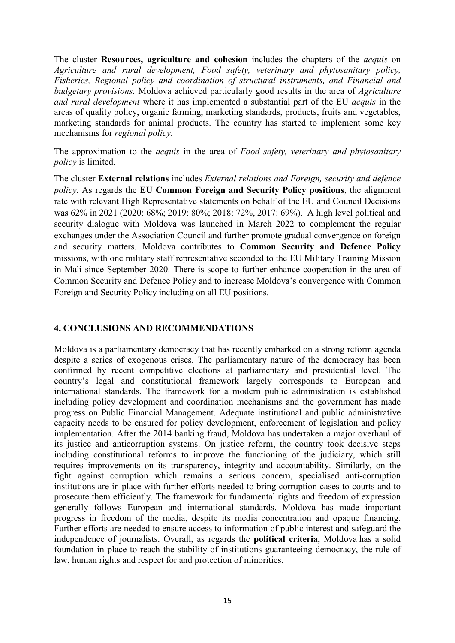The cluster **Resources, agriculture and cohesion** includes the chapters of the *acquis* on *Agriculture and rural development, Food safety, veterinary and phytosanitary policy, Fisheries, Regional policy and coordination of structural instruments, and Financial and budgetary provisions.* Moldova achieved particularly good results in the area of *Agriculture and rural development* where it has implemented a substantial part of the EU *acquis* in the areas of quality policy, organic farming, marketing standards, products, fruits and vegetables, marketing standards for animal products. The country has started to implement some key mechanisms for *regional policy*.

The approximation to the *acquis* in the area of *Food safety, veterinary and phytosanitary policy* is limited.

The cluster **External relations** includes *External relations and Foreign, security and defence policy.* As regards the **EU Common Foreign and Security Policy positions**, the alignment rate with relevant High Representative statements on behalf of the EU and Council Decisions was 62% in 2021 (2020: 68%; 2019: 80%; 2018: 72%, 2017: 69%). A high level political and security dialogue with Moldova was launched in March 2022 to complement the regular exchanges under the Association Council and further promote gradual convergence on foreign and security matters. Moldova contributes to **Common Security and Defence Policy** missions, with one military staff representative seconded to the EU Military Training Mission in Mali since September 2020. There is scope to further enhance cooperation in the area of Common Security and Defence Policy and to increase Moldova's convergence with Common Foreign and Security Policy including on all EU positions.

#### **4. CONCLUSIONS AND RECOMMENDATIONS**

Moldova is a parliamentary democracy that has recently embarked on a strong reform agenda despite a series of exogenous crises. The parliamentary nature of the democracy has been confirmed by recent competitive elections at parliamentary and presidential level. The country's legal and constitutional framework largely corresponds to European and international standards. The framework for a modern public administration is established including policy development and coordination mechanisms and the government has made progress on Public Financial Management. Adequate institutional and public administrative capacity needs to be ensured for policy development, enforcement of legislation and policy implementation. After the 2014 banking fraud, Moldova has undertaken a major overhaul of its justice and anticorruption systems. On justice reform, the country took decisive steps including constitutional reforms to improve the functioning of the judiciary, which still requires improvements on its transparency, integrity and accountability. Similarly, on the fight against corruption which remains a serious concern, specialised anti-corruption institutions are in place with further efforts needed to bring corruption cases to courts and to prosecute them efficiently. The framework for fundamental rights and freedom of expression generally follows European and international standards. Moldova has made important progress in freedom of the media, despite its media concentration and opaque financing. Further efforts are needed to ensure access to information of public interest and safeguard the independence of journalists. Overall, as regards the **political criteria**, Moldova has a solid foundation in place to reach the stability of institutions guaranteeing democracy, the rule of law, human rights and respect for and protection of minorities.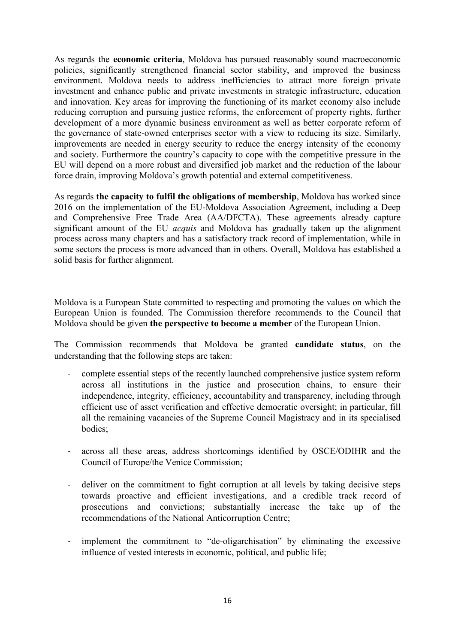As regards the **economic criteria**, Moldova has pursued reasonably sound macroeconomic policies, significantly strengthened financial sector stability, and improved the business environment. Moldova needs to address inefficiencies to attract more foreign private investment and enhance public and private investments in strategic infrastructure, education and innovation. Key areas for improving the functioning of its market economy also include reducing corruption and pursuing justice reforms, the enforcement of property rights, further development of a more dynamic business environment as well as better corporate reform of the governance of state-owned enterprises sector with a view to reducing its size. Similarly, improvements are needed in energy security to reduce the energy intensity of the economy and society. Furthermore the country's capacity to cope with the competitive pressure in the EU will depend on a more robust and diversified job market and the reduction of the labour force drain, improving Moldova's growth potential and external competitiveness.

As regards **the capacity to fulfil the obligations of membership**, Moldova has worked since 2016 on the implementation of the EU-Moldova Association Agreement, including a Deep and Comprehensive Free Trade Area (AA/DFCTA). These agreements already capture significant amount of the EU *acquis* and Moldova has gradually taken up the alignment process across many chapters and has a satisfactory track record of implementation, while in some sectors the process is more advanced than in others. Overall, Moldova has established a solid basis for further alignment.

Moldova is a European State committed to respecting and promoting the values on which the European Union is founded. The Commission therefore recommends to the Council that Moldova should be given **the perspective to become a member** of the European Union.

The Commission recommends that Moldova be granted **candidate status**, on the understanding that the following steps are taken:

- complete essential steps of the recently launched comprehensive justice system reform across all institutions in the justice and prosecution chains, to ensure their independence, integrity, efficiency, accountability and transparency, including through efficient use of asset verification and effective democratic oversight; in particular, fill all the remaining vacancies of the Supreme Council Magistracy and in its specialised bodies;
- across all these areas, address shortcomings identified by OSCE/ODIHR and the Council of Europe/the Venice Commission;
- deliver on the commitment to fight corruption at all levels by taking decisive steps towards proactive and efficient investigations, and a credible track record of prosecutions and convictions; substantially increase the take up of the recommendations of the National Anticorruption Centre;
- implement the commitment to "de-oligarchisation" by eliminating the excessive influence of vested interests in economic, political, and public life;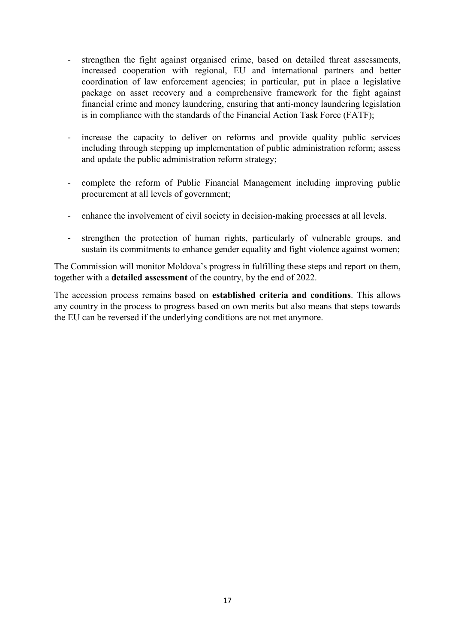- strengthen the fight against organised crime, based on detailed threat assessments, increased cooperation with regional, EU and international partners and better coordination of law enforcement agencies; in particular, put in place a legislative package on asset recovery and a comprehensive framework for the fight against financial crime and money laundering, ensuring that anti-money laundering legislation is in compliance with the standards of the Financial Action Task Force (FATF);
- increase the capacity to deliver on reforms and provide quality public services including through stepping up implementation of public administration reform; assess and update the public administration reform strategy;
- complete the reform of Public Financial Management including improving public procurement at all levels of government;
- enhance the involvement of civil society in decision-making processes at all levels.
- strengthen the protection of human rights, particularly of vulnerable groups, and sustain its commitments to enhance gender equality and fight violence against women;

The Commission will monitor Moldova's progress in fulfilling these steps and report on them, together with a **detailed assessment** of the country, by the end of 2022.

The accession process remains based on **established criteria and conditions**. This allows any country in the process to progress based on own merits but also means that steps towards the EU can be reversed if the underlying conditions are not met anymore.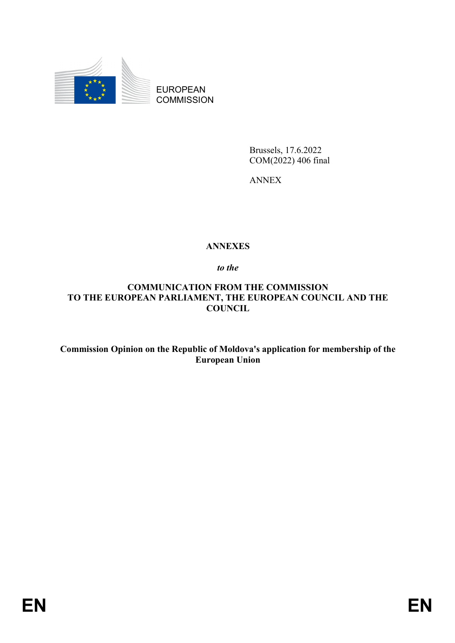

EUROPEAN **COMMISSION** 

> Brussels, 17.6.2022 COM(2022) 406 final

ANNEX

# **ANNEXES**

*to the* 

**COMMUNICATION FROM THE COMMISSION TO THE EUROPEAN PARLIAMENT, THE EUROPEAN COUNCIL AND THE COUNCIL**

**Commission Opinion on the Republic of Moldova's application for membership of the European Union**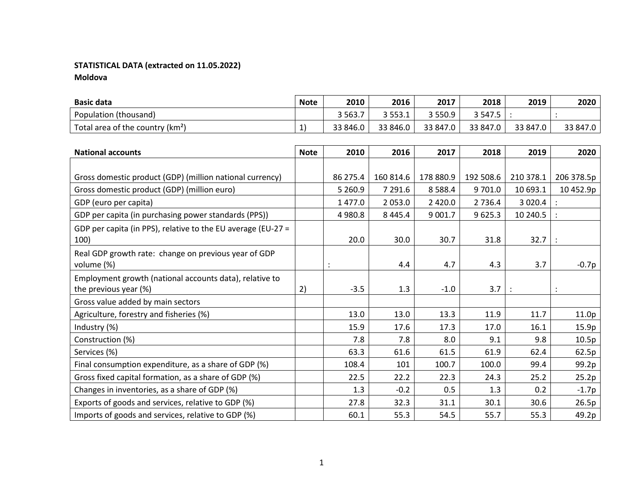# **STATISTICAL DATA (extracted on 11.05.2022)**

**Moldova**

| <b>Basic data</b>                   | <b>Note</b>    | 2010     | 2016     | 2017        | 2018     | 2019     | 2020     |
|-------------------------------------|----------------|----------|----------|-------------|----------|----------|----------|
| Population (thousand)               |                | 3 5 6 3. | 3553.1   | 3 5 5 0 . 9 | र 547.5  |          |          |
| Total area of the country ( $km2$ ) | $\overline{ }$ | 33 846.0 | 33 846.0 | 33 847.0    | 33 847.0 | 33 847.0 | 33 847.0 |

| <b>National accounts</b>                                                         | <b>Note</b> | 2010      | 2016        | 2017       | 2018      | 2019                 | 2020       |
|----------------------------------------------------------------------------------|-------------|-----------|-------------|------------|-----------|----------------------|------------|
|                                                                                  |             |           |             |            |           |                      |            |
| Gross domestic product (GDP) (million national currency)                         |             | 86 275.4  | 160 814.6   | 178 880.9  | 192 508.6 | 210 378.1            | 206 378.5p |
| Gross domestic product (GDP) (million euro)                                      |             | 5 2 6 0.9 | 7 291.6     | 8 5 8 8.4  | 9 701.0   | 10 693.1             | 10452.9p   |
| GDP (euro per capita)                                                            |             | 1 477.0   | 2 0 5 3 .0  | 2 4 2 0 .0 | 2 7 3 6.4 | 3 0 2 0.4            |            |
| GDP per capita (in purchasing power standards (PPS))                             |             | 4 980.8   | 8 4 4 5 . 4 | 9 001.7    | 9625.3    | 10 240.5             |            |
| GDP per capita (in PPS), relative to the EU average (EU-27 =<br>100)             |             | 20.0      | 30.0        | 30.7       | 31.8      | 32.7                 |            |
| Real GDP growth rate: change on previous year of GDP<br>volume (%)               |             |           | 4.4         | 4.7        | 4.3       | 3.7                  | -0.7p      |
| Employment growth (national accounts data), relative to<br>the previous year (%) | 2)          | $-3.5$    | 1.3         | $-1.0$     | 3.7       | $\ddot{\phantom{a}}$ |            |
| Gross value added by main sectors                                                |             |           |             |            |           |                      |            |
| Agriculture, forestry and fisheries (%)                                          |             | 13.0      | 13.0        | 13.3       | 11.9      | 11.7                 | 11.0p      |
| Industry (%)                                                                     |             | 15.9      | 17.6        | 17.3       | 17.0      | 16.1                 | 15.9p      |
| Construction (%)                                                                 |             | 7.8       | 7.8         | 8.0        | 9.1       | 9.8                  | 10.5p      |
| Services (%)                                                                     |             | 63.3      | 61.6        | 61.5       | 61.9      | 62.4                 | 62.5p      |
| Final consumption expenditure, as a share of GDP (%)                             |             | 108.4     | 101         | 100.7      | 100.0     | 99.4                 | 99.2p      |
| Gross fixed capital formation, as a share of GDP (%)                             |             | 22.5      | 22.2        | 22.3       | 24.3      | 25.2                 | 25.2p      |
| Changes in inventories, as a share of GDP (%)                                    |             | 1.3       | $-0.2$      | 0.5        | 1.3       | 0.2                  | $-1.7p$    |
| Exports of goods and services, relative to GDP (%)                               |             | 27.8      | 32.3        | 31.1       | 30.1      | 30.6                 | 26.5p      |
| Imports of goods and services, relative to GDP (%)                               |             | 60.1      | 55.3        | 54.5       | 55.7      | 55.3                 | 49.2p      |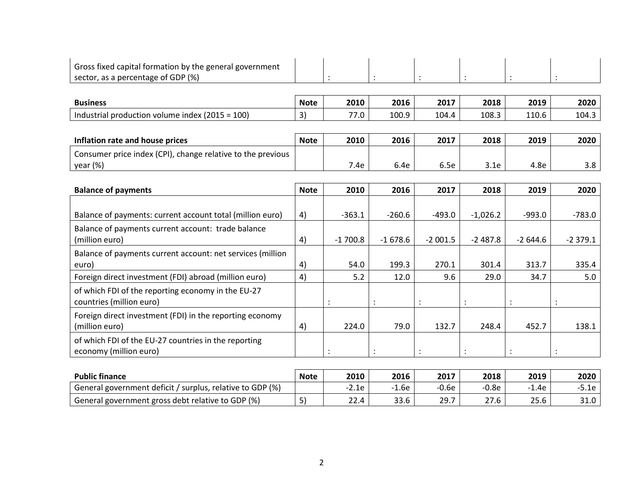| Gross fixed capital formation by the general government                        |             |           |           |           |                 |           |           |
|--------------------------------------------------------------------------------|-------------|-----------|-----------|-----------|-----------------|-----------|-----------|
| sector, as a percentage of GDP (%)                                             |             |           |           |           | $\ddot{\cdot}$  |           |           |
|                                                                                |             |           |           |           |                 |           |           |
| <b>Business</b>                                                                | <b>Note</b> | 2010      | 2016      | 2017      | 2018            | 2019      | 2020      |
| Industrial production volume index (2015 = 100)                                | 3)          | 77.0      | 100.9     | 104.4     | 108.3           | 110.6     | 104.3     |
|                                                                                |             |           |           |           |                 |           |           |
| Inflation rate and house prices                                                | <b>Note</b> | 2010      | 2016      | 2017      | 2018            | 2019      | 2020      |
| Consumer price index (CPI), change relative to the previous<br>year (%)        |             | 7.4e      | 6.4e      | 6.5e      | 3.1e            | 4.8e      | 3.8       |
|                                                                                |             |           |           |           |                 |           |           |
| <b>Balance of payments</b>                                                     | <b>Note</b> | 2010      | 2016      | 2017      | 2018            | 2019      | 2020      |
|                                                                                |             |           |           |           |                 |           |           |
| Balance of payments: current account total (million euro)                      | 4)          | $-363.1$  | $-260.6$  | $-493.0$  | $-1,026.2$      | $-993.0$  | $-783.0$  |
| Balance of payments current account: trade balance<br>(million euro)           | 4)          | $-1700.8$ | $-1678.6$ | $-2001.5$ | $-2487.8$       | $-2644.6$ | $-2379.1$ |
| Balance of payments current account: net services (million                     |             |           |           |           |                 |           |           |
| euro)                                                                          | 4)          | 54.0      | 199.3     | 270.1     | 301.4           | 313.7     | 335.4     |
| Foreign direct investment (FDI) abroad (million euro)                          | 4)          | 5.2       | 12.0      | 9.6       | 29.0            | 34.7      | 5.0       |
| of which FDI of the reporting economy in the EU-27<br>countries (million euro) |             |           |           |           |                 |           |           |
| Foreign direct investment (FDI) in the reporting economy<br>(million euro)     | 4)          | 224.0     | 79.0      | 132.7     | 248.4           | 452.7     | 138.1     |
| of which FDI of the EU-27 countries in the reporting<br>economy (million euro) |             |           |           |           | $\dddot{\cdot}$ |           |           |
|                                                                                |             |           |           |           |                 |           |           |
| <b>Public finance</b>                                                          | <b>Note</b> | 2010      | 2016      | 2017      | 2018            | 2019      | 2020      |

General government deficit / surplus, relative to GDP  $(\%)$  | | -2.1e | -1.6e | -0.6e | -0.8e | -1.4e | -5.1e General government gross debt relative to GDP (%) 5) 22.4 33.6 29.7 27.6 25.6 31.0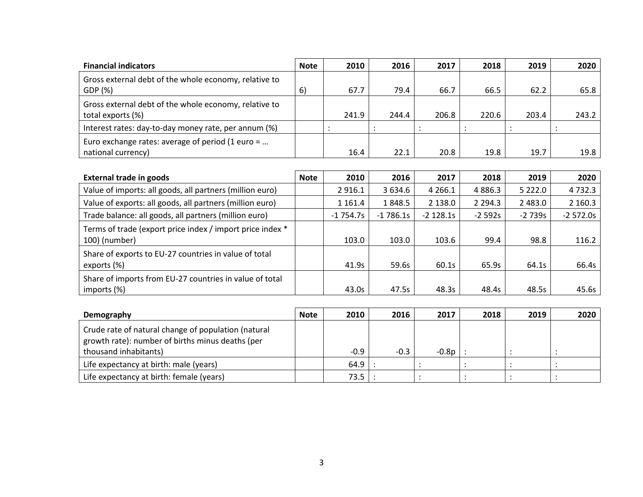| <b>Financial indicators</b>                                                | <b>Note</b> | 2010  | 2016  | 2017  | 2018  | 2019  | 2020  |
|----------------------------------------------------------------------------|-------------|-------|-------|-------|-------|-------|-------|
| Gross external debt of the whole economy, relative to<br>GDP (%)           | 6)          | 67.7  | 79.4  | 66.7  | 66.5  | 62.2  | 65.8  |
| Gross external debt of the whole economy, relative to<br>total exports (%) |             | 241.9 | 244.4 | 206.8 | 220.6 | 203.4 | 243.2 |
| Interest rates: day-to-day money rate, per annum (%)                       |             |       |       |       |       |       |       |
| Euro exchange rates: average of period (1 euro =<br>national currency)     |             | 16.4  | 22.1  | 20.8  | 19.8  | 19.7  | 19.8  |

| <b>External trade in goods</b>                                             | <b>Note</b> | 2010        | 2016       | 2017        | 2018        | 2019       | 2020       |
|----------------------------------------------------------------------------|-------------|-------------|------------|-------------|-------------|------------|------------|
| Value of imports: all goods, all partners (million euro)                   |             | 2 9 1 6 . 1 | 3 634.6    | 4 2 6 6 . 1 | 4 8 8 6 . 3 | 5 2 2 2 .0 | 4732.3     |
| Value of exports: all goods, all partners (million euro)                   |             | 1 1 6 1 . 4 | 1848.5     | 2 138.0     | 2 2 9 4 . 3 | 2 4 8 3 .0 | 2 160.3    |
| Trade balance: all goods, all partners (million euro)                      |             | $-1754.7s$  | $-1786.1s$ | $-2$ 128.1s | $-2592s$    | $-2739s$   | $-2572.0s$ |
| Terms of trade (export price index / import price index *<br>100) (number) |             | 103.0       | 103.0      | 103.6       | 99.4        | 98.8       | 116.2      |
| Share of exports to EU-27 countries in value of total<br>exports (%)       |             | 41.9s       | 59.6s      | 60.1s       | 65.9s       | 64.1s      | 66.4s      |
| Share of imports from EU-27 countries in value of total<br>imports (%)     |             | 43.0s       | 47.5s      | 48.3s       | 48.4s       | 48.5s      | 45.6s      |

| Demography                                                                                              | <b>Note</b> | 2010   | 2016   | 2017  | 2018 | 2019 | 2020 |
|---------------------------------------------------------------------------------------------------------|-------------|--------|--------|-------|------|------|------|
| Crude rate of natural change of population (natural<br>growth rate): number of births minus deaths (per |             |        |        |       |      |      |      |
| thousand inhabitants)                                                                                   |             | $-0.9$ | $-0.3$ | -0.8p |      |      |      |
| Life expectancy at birth: male (years)                                                                  |             | 64.9   |        |       |      |      |      |
| Life expectancy at birth: female (years)                                                                |             | 73.5   |        |       |      |      |      |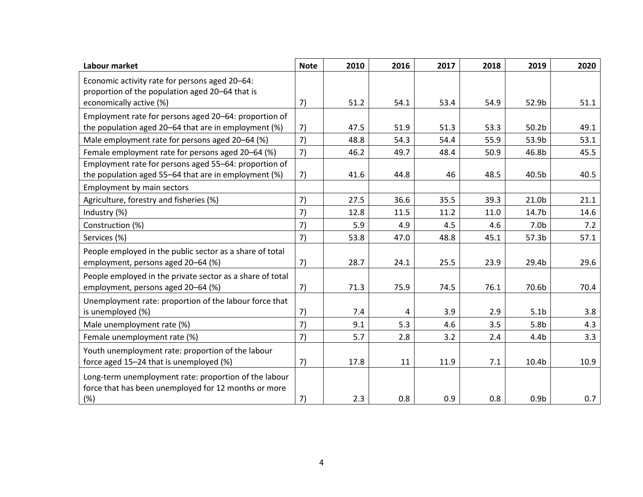| Labour market                                                                                                 | <b>Note</b> | 2010 | 2016 | 2017 | 2018 | 2019              | 2020 |
|---------------------------------------------------------------------------------------------------------------|-------------|------|------|------|------|-------------------|------|
| Economic activity rate for persons aged 20-64:<br>proportion of the population aged 20-64 that is             |             |      |      |      |      |                   |      |
| economically active (%)                                                                                       | 7)          | 51.2 | 54.1 | 53.4 | 54.9 | 52.9b             | 51.1 |
| Employment rate for persons aged 20-64: proportion of                                                         |             |      |      |      |      |                   |      |
| the population aged 20-64 that are in employment (%)                                                          | 7)          | 47.5 | 51.9 | 51.3 | 53.3 | 50.2 <sub>b</sub> | 49.1 |
| Male employment rate for persons aged 20-64 (%)                                                               | 7)          | 48.8 | 54.3 | 54.4 | 55.9 | 53.9b             | 53.1 |
| Female employment rate for persons aged 20-64 (%)                                                             | 7)          | 46.2 | 49.7 | 48.4 | 50.9 | 46.8b             | 45.5 |
| Employment rate for persons aged 55-64: proportion of                                                         |             |      |      |      |      |                   |      |
| the population aged 55-64 that are in employment (%)                                                          | 7)          | 41.6 | 44.8 | 46   | 48.5 | 40.5b             | 40.5 |
| Employment by main sectors                                                                                    |             |      |      |      |      |                   |      |
| Agriculture, forestry and fisheries (%)                                                                       | 7)          | 27.5 | 36.6 | 35.5 | 39.3 | 21.0b             | 21.1 |
| Industry (%)                                                                                                  | 7)          | 12.8 | 11.5 | 11.2 | 11.0 | 14.7b             | 14.6 |
| Construction (%)                                                                                              | 7)          | 5.9  | 4.9  | 4.5  | 4.6  | 7.0 <sub>b</sub>  | 7.2  |
| Services (%)                                                                                                  | 7)          | 53.8 | 47.0 | 48.8 | 45.1 | 57.3b             | 57.1 |
| People employed in the public sector as a share of total                                                      |             |      |      |      |      |                   |      |
| employment, persons aged 20-64 (%)                                                                            | 7)          | 28.7 | 24.1 | 25.5 | 23.9 | 29.4b             | 29.6 |
| People employed in the private sector as a share of total                                                     |             |      |      |      |      |                   |      |
| employment, persons aged 20-64 (%)                                                                            | 7)          | 71.3 | 75.9 | 74.5 | 76.1 | 70.6b             | 70.4 |
| Unemployment rate: proportion of the labour force that                                                        |             |      |      |      |      |                   |      |
| is unemployed (%)                                                                                             | 7)          | 7.4  | 4    | 3.9  | 2.9  | 5.1 <sub>b</sub>  | 3.8  |
| Male unemployment rate (%)                                                                                    | 7)          | 9.1  | 5.3  | 4.6  | 3.5  | 5.8 <sub>b</sub>  | 4.3  |
| Female unemployment rate (%)                                                                                  | 7)          | 5.7  | 2.8  | 3.2  | 2.4  | 4.4 <sub>b</sub>  | 3.3  |
| Youth unemployment rate: proportion of the labour                                                             |             |      |      |      |      |                   |      |
| force aged 15-24 that is unemployed (%)                                                                       | 7)          | 17.8 | 11   | 11.9 | 7.1  | 10.4b             | 10.9 |
| Long-term unemployment rate: proportion of the labour<br>force that has been unemployed for 12 months or more |             |      |      |      |      |                   |      |
| (%)                                                                                                           | 7)          | 2.3  | 0.8  | 0.9  | 0.8  | 0.9 <sub>b</sub>  | 0.7  |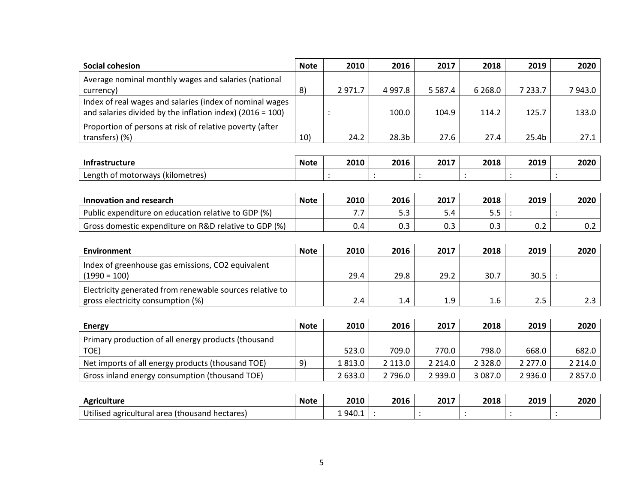| <b>Social cohesion</b>                                                                                                | <b>Note</b> | 2010    | 2016       | 2017        | 2018       | 2019       | 2020       |
|-----------------------------------------------------------------------------------------------------------------------|-------------|---------|------------|-------------|------------|------------|------------|
| Average nominal monthly wages and salaries (national<br>currency)                                                     | 8)          | 2971.7  | 4 9 9 7.8  | 5 5 8 7 . 4 | 6 2 6 8 .0 | 7 2 3 3.7  | 7943.0     |
| Index of real wages and salaries (index of nominal wages<br>and salaries divided by the inflation index) (2016 = 100) |             |         | 100.0      | 104.9       | 114.2      | 125.7      | 133.0      |
| Proportion of persons at risk of relative poverty (after<br>transfers) (%)                                            | 10)         | 24.2    | 28.3b      | 27.6        | 27.4       | 25.4b      | 27.1       |
|                                                                                                                       |             |         |            |             |            |            |            |
| <b>Infrastructure</b>                                                                                                 | <b>Note</b> | 2010    | 2016       | 2017        | 2018       | 2019       | 2020       |
| Length of motorways (kilometres)                                                                                      |             |         |            |             |            |            |            |
|                                                                                                                       |             |         |            |             |            |            |            |
| <b>Innovation and research</b>                                                                                        | <b>Note</b> | 2010    | 2016       | 2017        | 2018       | 2019       | 2020       |
| Public expenditure on education relative to GDP (%)                                                                   |             | 7.7     | 5.3        | 5.4         | 5.5        |            |            |
| Gross domestic expenditure on R&D relative to GDP (%)                                                                 |             | 0.4     | 0.3        | 0.3         | 0.3        | 0.2        | 0.2        |
|                                                                                                                       |             |         |            |             |            |            |            |
| <b>Environment</b>                                                                                                    | <b>Note</b> | 2010    | 2016       | 2017        | 2018       | 2019       | 2020       |
| Index of greenhouse gas emissions, CO2 equivalent                                                                     |             |         |            |             |            |            |            |
| $(1990 = 100)$                                                                                                        |             | 29.4    | 29.8       | 29.2        | 30.7       | 30.5       |            |
| Electricity generated from renewable sources relative to                                                              |             |         |            |             |            |            |            |
| gross electricity consumption (%)                                                                                     |             | 2.4     | 1.4        | 1.9         | 1.6        | 2.5        | 2.3        |
|                                                                                                                       |             |         |            |             |            |            |            |
| <b>Energy</b>                                                                                                         | <b>Note</b> | 2010    | 2016       | 2017        | 2018       | 2019       | 2020       |
| Primary production of all energy products (thousand                                                                   |             |         |            |             |            |            |            |
| TOE)                                                                                                                  |             | 523.0   | 709.0      | 770.0       | 798.0      | 668.0      | 682.0      |
| Net imports of all energy products (thousand TOE)                                                                     | 9)          | 1813.0  | 2 1 1 3 .0 | 2 2 1 4 .0  | 2 3 2 8 .0 | 2 277.0    | 2 2 1 4 .0 |
| Gross inland energy consumption (thousand TOE)                                                                        |             | 2 633.0 | 2 796.0    | 2 9 3 9 . 0 | 3 087.0    | 2 9 3 6 .0 | 2857.0     |
|                                                                                                                       |             |         |            |             |            |            |            |
| <b>Agriculture</b>                                                                                                    | <b>Note</b> | 2010    | 2016       | 2017        | 2018       | 2019       | 2020       |
| Utilised agricultural area (thousand hectares)                                                                        |             | 1940.1  |            |             |            |            |            |